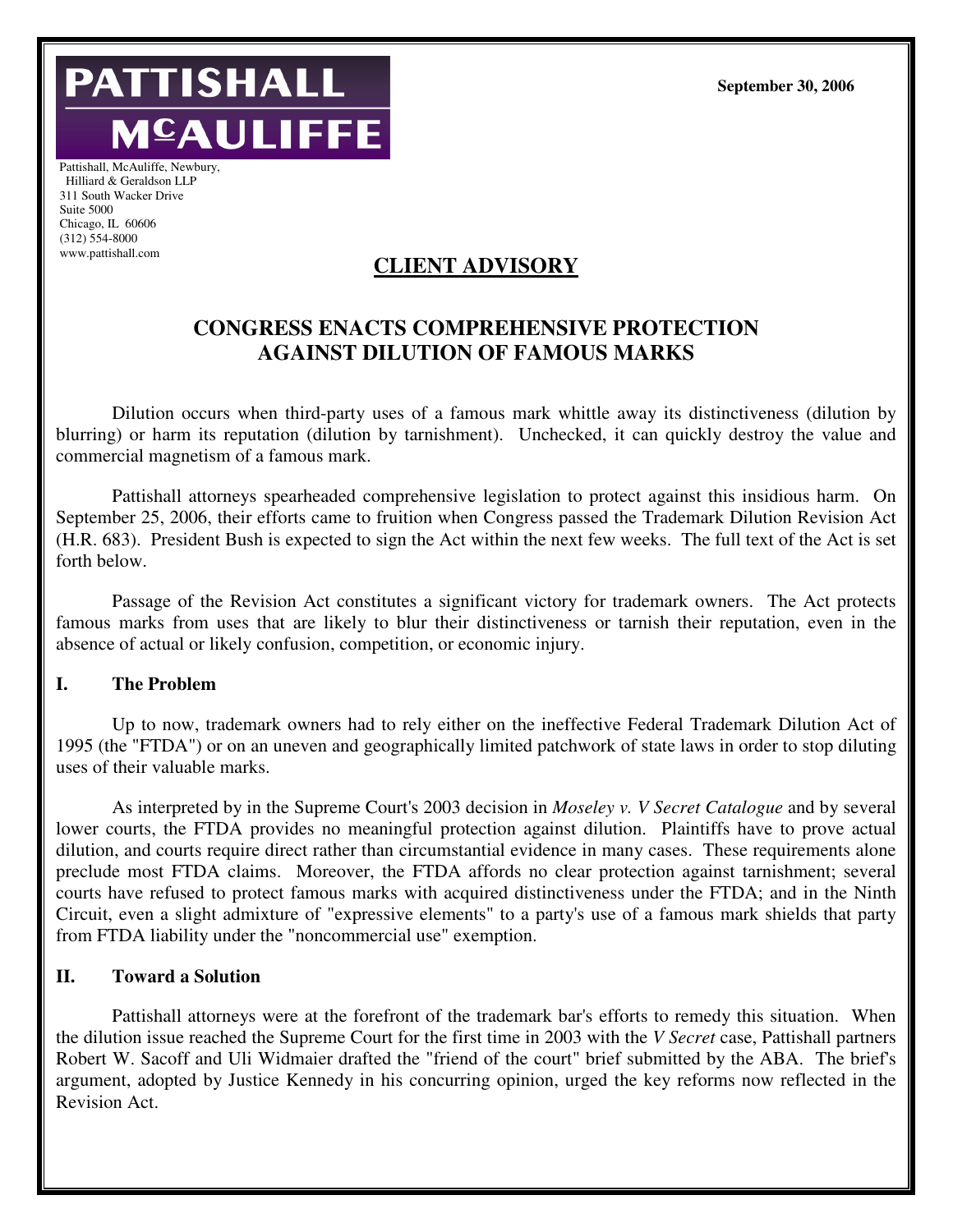**September 30, 2006**

PATTISHALL **M<sup>C</sup>AULIFFE** 

Pattishall, McAuliffe, Newbury, Hilliard & Geraldson LLP 311 South Wacker Drive Suite 5000 Chicago, IL 60606 (312) 554-8000 www.pattishall.com

# **CLIENT ADVISORY**

# **CONGRESS ENACTS COMPREHENSIVE PROTECTION AGAINST DILUTION OF FAMOUS MARKS**

Dilution occurs when third-party uses of a famous mark whittle away its distinctiveness (dilution by blurring) or harm its reputation (dilution by tarnishment). Unchecked, it can quickly destroy the value and commercial magnetism of a famous mark.

Pattishall attorneys spearheaded comprehensive legislation to protect against this insidious harm. On September 25, 2006, their efforts came to fruition when Congress passed the Trademark Dilution Revision Act (H.R. 683). President Bush is expected to sign the Act within the next few weeks. The full text of the Act is set forth below.

Passage of the Revision Act constitutes a significant victory for trademark owners. The Act protects famous marks from uses that are likely to blur their distinctiveness or tarnish their reputation, even in the absence of actual or likely confusion, competition, or economic injury.

### **I. The Problem**

Up to now, trademark owners had to rely either on the ineffective Federal Trademark Dilution Act of 1995 (the "FTDA") or on an uneven and geographically limited patchwork of state laws in order to stop diluting uses of their valuable marks.

As interpreted by in the Supreme Court's 2003 decision in *Moseley v. V Secret Catalogue* and by several lower courts, the FTDA provides no meaningful protection against dilution. Plaintiffs have to prove actual dilution, and courts require direct rather than circumstantial evidence in many cases. These requirements alone preclude most FTDA claims. Moreover, the FTDA affords no clear protection against tarnishment; several courts have refused to protect famous marks with acquired distinctiveness under the FTDA; and in the Ninth Circuit, even a slight admixture of "expressive elements" to a party's use of a famous mark shields that party from FTDA liability under the "noncommercial use" exemption.

## **II. Toward a Solution**

Pattishall attorneys were at the forefront of the trademark bar's efforts to remedy this situation. When the dilution issue reached the Supreme Court for the first time in 2003 with the *V Secret* case, Pattishall partners Robert W. Sacoff and Uli Widmaier drafted the "friend of the court" brief submitted by the ABA. The brief's argument, adopted by Justice Kennedy in his concurring opinion, urged the key reforms now reflected in the Revision Act.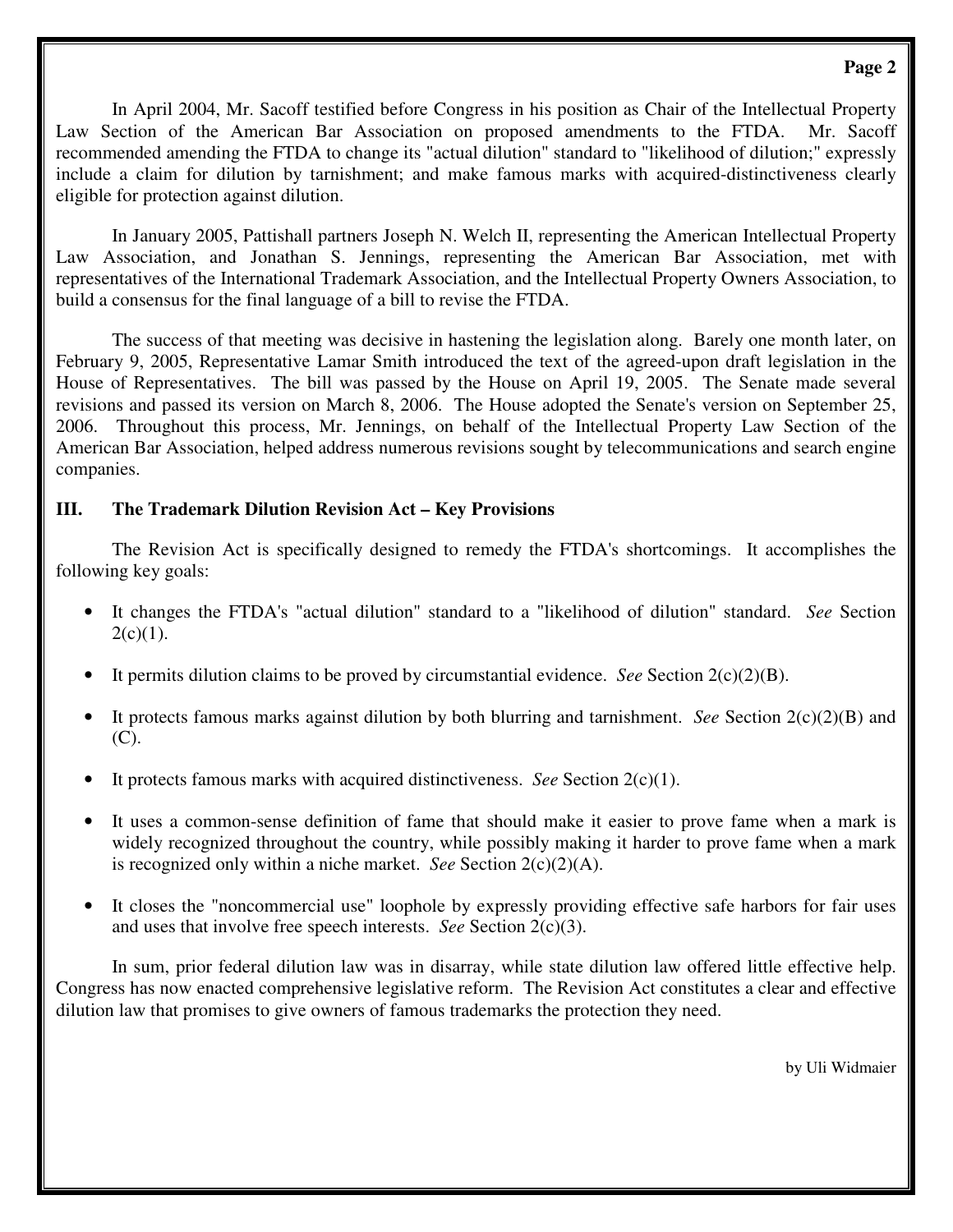### **Page 2**

In April 2004, Mr. Sacoff testified before Congress in his position as Chair of the Intellectual Property Law Section of the American Bar Association on proposed amendments to the FTDA. Mr. Sacoff recommended amending the FTDA to change its "actual dilution" standard to "likelihood of dilution;" expressly include a claim for dilution by tarnishment; and make famous marks with acquired-distinctiveness clearly eligible for protection against dilution.

In January 2005, Pattishall partners Joseph N. Welch II, representing the American Intellectual Property Law Association, and Jonathan S. Jennings, representing the American Bar Association, met with representatives of the International Trademark Association, and the Intellectual Property Owners Association, to build a consensus for the final language of a bill to revise the FTDA.

The success of that meeting was decisive in hastening the legislation along. Barely one month later, on February 9, 2005, Representative Lamar Smith introduced the text of the agreed-upon draft legislation in the House of Representatives. The bill was passed by the House on April 19, 2005. The Senate made several revisions and passed its version on March 8, 2006. The House adopted the Senate's version on September 25, 2006. Throughout this process, Mr. Jennings, on behalf of the Intellectual Property Law Section of the American Bar Association, helped address numerous revisions sought by telecommunications and search engine companies.

## **III. The Trademark Dilution Revision Act – Key Provisions**

The Revision Act is specifically designed to remedy the FTDA's shortcomings. It accomplishes the following key goals:

- It changes the FTDA's "actual dilution" standard to a "likelihood of dilution" standard. *See* Section  $2(c)(1)$ .
- It permits dilution claims to be proved by circumstantial evidence. *See* Section 2(c)(2)(B).
- It protects famous marks against dilution by both blurring and tarnishment. *See* Section 2(c)(2)(B) and  $(C).$
- It protects famous marks with acquired distinctiveness. *See* Section 2(c)(1).
- It uses a common-sense definition of fame that should make it easier to prove fame when a mark is widely recognized throughout the country, while possibly making it harder to prove fame when a mark is recognized only within a niche market. *See* Section 2(c)(2)(A).
- It closes the "noncommercial use" loophole by expressly providing effective safe harbors for fair uses and uses that involve free speech interests. *See* Section 2(c)(3).

In sum, prior federal dilution law was in disarray, while state dilution law offered little effective help. Congress has now enacted comprehensive legislative reform. The Revision Act constitutes a clear and effective dilution law that promises to give owners of famous trademarks the protection they need.

by Uli Widmaier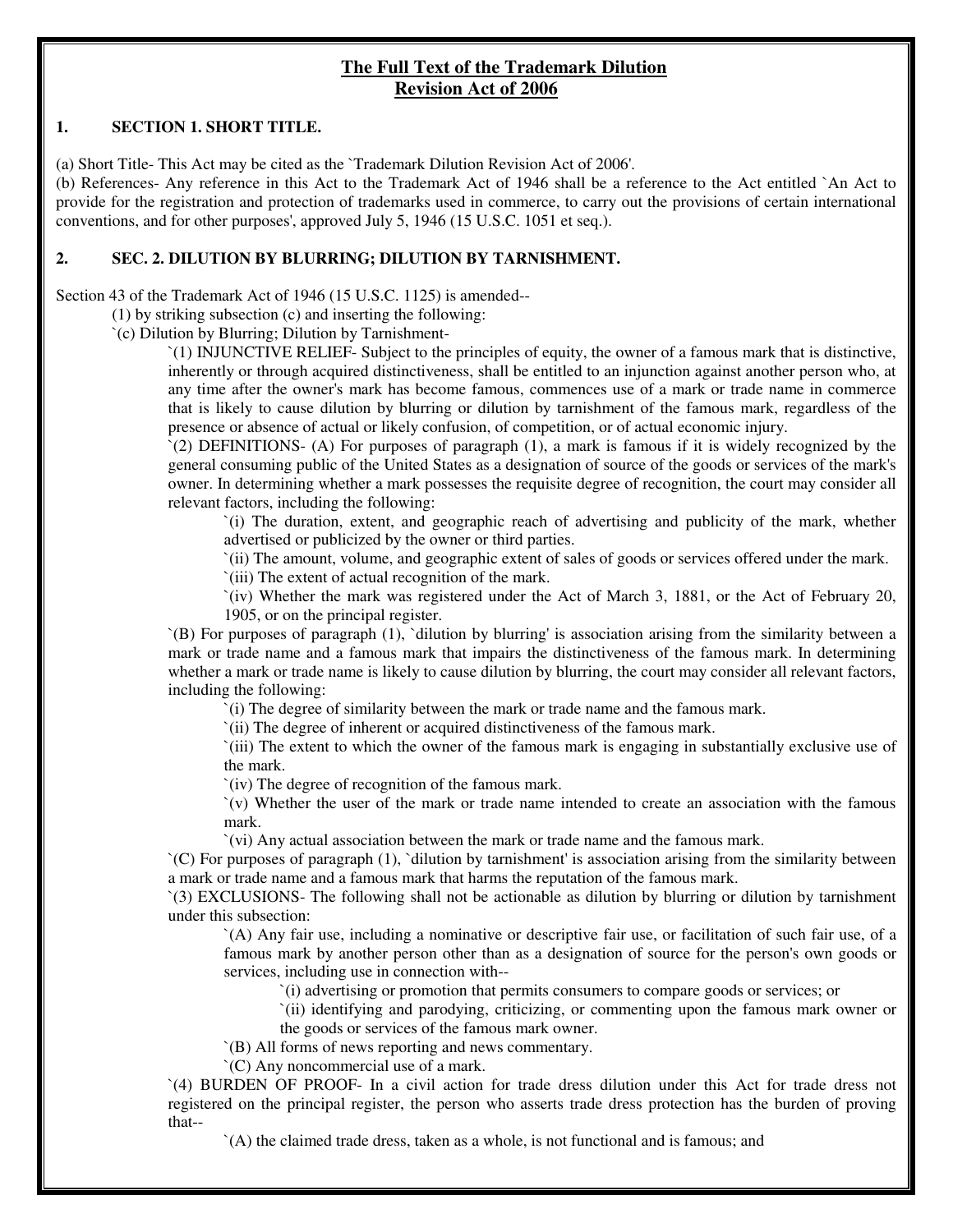## **The Full Text of the Trademark Dilution Revision Act of 2006**

#### **1. SECTION 1. SHORT TITLE.**

(a) Short Title- This Act may be cited as the `Trademark Dilution Revision Act of 2006'.

(b) References- Any reference in this Act to the Trademark Act of 1946 shall be a reference to the Act entitled `An Act to provide for the registration and protection of trademarks used in commerce, to carry out the provisions of certain international conventions, and for other purposes', approved July 5, 1946 (15 U.S.C. 1051 et seq.).

#### **2. SEC. 2. DILUTION BY BLURRING; DILUTION BY TARNISHMENT.**

Section 43 of the Trademark Act of 1946 (15 U.S.C. 1125) is amended--

(1) by striking subsection (c) and inserting the following:

`(c) Dilution by Blurring; Dilution by Tarnishment-

`(1) INJUNCTIVE RELIEF- Subject to the principles of equity, the owner of a famous mark that is distinctive, inherently or through acquired distinctiveness, shall be entitled to an injunction against another person who, at any time after the owner's mark has become famous, commences use of a mark or trade name in commerce that is likely to cause dilution by blurring or dilution by tarnishment of the famous mark, regardless of the presence or absence of actual or likely confusion, of competition, or of actual economic injury.

 $\zeta(2)$  DEFINITIONS- (A) For purposes of paragraph (1), a mark is famous if it is widely recognized by the general consuming public of the United States as a designation of source of the goods or services of the mark's owner. In determining whether a mark possesses the requisite degree of recognition, the court may consider all relevant factors, including the following:

`(i) The duration, extent, and geographic reach of advertising and publicity of the mark, whether advertised or publicized by the owner or third parties.

`(ii) The amount, volume, and geographic extent of sales of goods or services offered under the mark.

`(iii) The extent of actual recognition of the mark.

`(iv) Whether the mark was registered under the Act of March 3, 1881, or the Act of February 20, 1905, or on the principal register.

`(B) For purposes of paragraph (1), `dilution by blurring' is association arising from the similarity between a mark or trade name and a famous mark that impairs the distinctiveness of the famous mark. In determining whether a mark or trade name is likely to cause dilution by blurring, the court may consider all relevant factors, including the following:

`(i) The degree of similarity between the mark or trade name and the famous mark.

`(ii) The degree of inherent or acquired distinctiveness of the famous mark.

`(iii) The extent to which the owner of the famous mark is engaging in substantially exclusive use of the mark.

`(iv) The degree of recognition of the famous mark.

`(v) Whether the user of the mark or trade name intended to create an association with the famous mark.

`(vi) Any actual association between the mark or trade name and the famous mark.

`(C) For purposes of paragraph (1), `dilution by tarnishment' is association arising from the similarity between a mark or trade name and a famous mark that harms the reputation of the famous mark.

`(3) EXCLUSIONS- The following shall not be actionable as dilution by blurring or dilution by tarnishment under this subsection:

`(A) Any fair use, including a nominative or descriptive fair use, or facilitation of such fair use, of a famous mark by another person other than as a designation of source for the person's own goods or services, including use in connection with--

`(i) advertising or promotion that permits consumers to compare goods or services; or

`(ii) identifying and parodying, criticizing, or commenting upon the famous mark owner or the goods or services of the famous mark owner.

`(B) All forms of news reporting and news commentary.

`(C) Any noncommercial use of a mark.

`(4) BURDEN OF PROOF- In a civil action for trade dress dilution under this Act for trade dress not registered on the principal register, the person who asserts trade dress protection has the burden of proving that--

`(A) the claimed trade dress, taken as a whole, is not functional and is famous; and